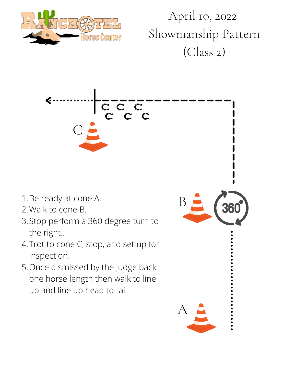

April 10, 2022 Showmanship Pattern (Class 2)



- 1. Be ready at cone A.
- 2. Walk to cone B.
- Stop perform a 360 degree turn to 3. the right..
- 4. Trot to cone C, stop, and set up for inspection.
- 5. Once dismissed by the judge back one horse length then walk to line up and line up head to tail.

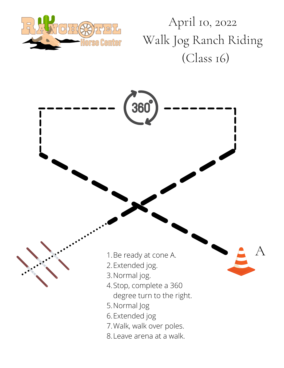

April 10, 2022 Walk Jog Ranch Riding (Class 16)

A

1. Be ready at cone A.

360

- 2.Extended jog.
- 3. Normal jog.
- 4. Stop, complete a 360
	- degree turn to the right.
- 5. Normal Jog
- 6. Extended jog
- 7. Walk, walk over poles.
- Leave arena at a walk. 8.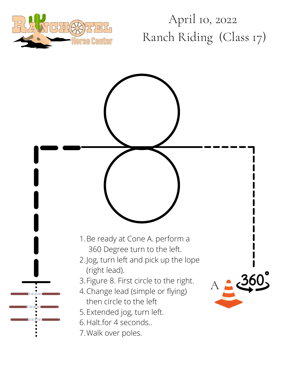

## April 10, 2022 Ranch Riding (Class 17)

1. Be ready at Cone A. perform a 360 Degree turn to the left. 2. Jog, turn left and pick up the lope (right lead). 360 3. Figure 8. First circle to the right.  $A$ Change lead (simple or flying) 4. then circle to the left Extended jog, turn left. 5. 6. Halt.for 4 seconds.. 7. Walk over poles.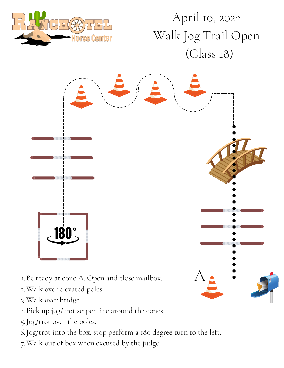

## April 10, 2022 Walk Jog Trail Open (Class 18)



- Be ready at cone A. Open and close mailbox. 1.
- Walk over elevated poles. 2.
- Walk over bridge. 3.
- Pick up jog/trot serpentine around the cones. 4.
- Jog/trot over the poles. 5.
- Jog/trot into the box, stop perform a 180 degree turn to the left. 6.
- Walk out of box when excused by the judge. 7.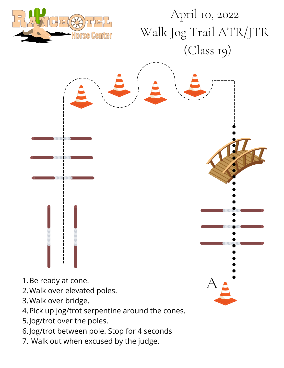

## April 10, 2022 Walk Jog Trail ATR/JTR (Class 19)

- 
- 1. Be ready at cone.
- 2. Walk over elevate d poles.  $\qquad \qquad \Delta$
- 3. Walk over bridge.
- Pick up jog/trot serpentine around the cones. 4.
- 5. Jog/trot over the poles.
- Jog/trot between pole. Stop for 4 seconds 6.
- 7. Walk out when excused by the judge.